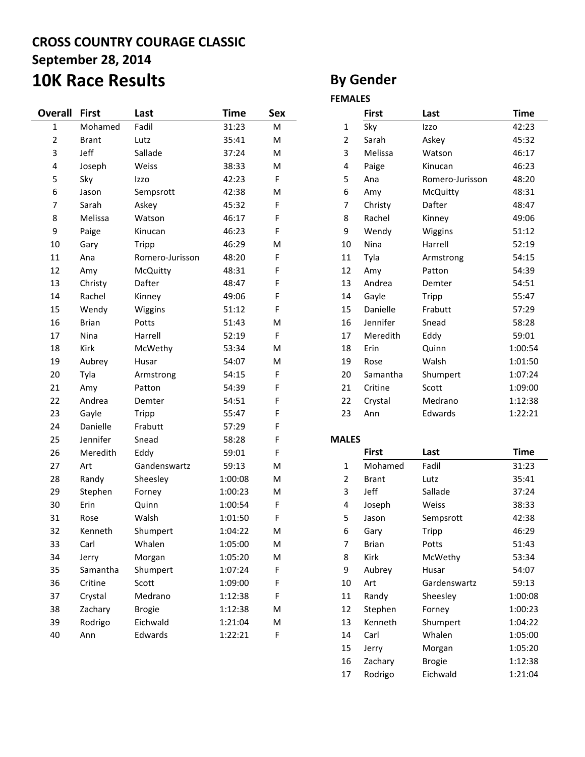## **CROSS COUNTRY COURAGE CLASSIC September 28, 2014 10K Race Results By Gender**

| Overall     | <b>First</b> | Last            | <b>Time</b> | Sex       |                | <b>First</b> | Last            | <b>Time</b> |
|-------------|--------------|-----------------|-------------|-----------|----------------|--------------|-----------------|-------------|
| $\mathbf 1$ | Mohamed      | Fadil           | 31:23       | ${\sf M}$ | 1              | Sky          | Izzo            | 42:23       |
| 2           | <b>Brant</b> | Lutz            | 35:41       | M         | $\overline{2}$ | Sarah        | Askey           | 45:32       |
| 3           | Jeff         | Sallade         | 37:24       | M         | 3              | Melissa      | Watson          | 46:17       |
| 4           | Joseph       | Weiss           | 38:33       | M         | $\pmb{4}$      | Paige        | Kinucan         | 46:23       |
| 5           | Sky          | Izzo            | 42:23       | F         | 5              | Ana          | Romero-Jurisson | 48:20       |
| 6           | Jason        | Sempsrott       | 42:38       | M         | 6              | Amy          | McQuitty        | 48:31       |
| 7           | Sarah        | Askey           | 45:32       | F         | $\overline{7}$ | Christy      | Dafter          | 48:47       |
| 8           | Melissa      | Watson          | 46:17       | F         | 8              | Rachel       | Kinney          | 49:06       |
| 9           | Paige        | Kinucan         | 46:23       | F         | 9              | Wendy        | Wiggins         | 51:12       |
| 10          | Gary         | <b>Tripp</b>    | 46:29       | M         | 10             | Nina         | Harrell         | 52:19       |
| 11          | Ana          | Romero-Jurisson | 48:20       | F         | 11             | Tyla         | Armstrong       | 54:15       |
| 12          | Amy          | McQuitty        | 48:31       | F         | 12             | Amy          | Patton          | 54:39       |
| 13          | Christy      | Dafter          | 48:47       | F         | 13             | Andrea       | Demter          | 54:51       |
| 14          | Rachel       | Kinney          | 49:06       | F         | 14             | Gayle        | Tripp           | 55:47       |
| 15          | Wendy        | Wiggins         | 51:12       | F         | 15             | Danielle     | Frabutt         | 57:29       |
| 16          | <b>Brian</b> | Potts           | 51:43       | ${\sf M}$ | 16             | Jennifer     | Snead           | 58:28       |
| 17          | Nina         | Harrell         | 52:19       | F         | 17             | Meredith     | Eddy            | 59:01       |
| 18          | Kirk         | McWethy         | 53:34       | M         | 18             | Erin         | Quinn           | 1:00:54     |
| 19          | Aubrey       | Husar           | 54:07       | M         | 19             | Rose         | Walsh           | 1:01:50     |
| 20          | Tyla         | Armstrong       | 54:15       | F         | 20             | Samantha     | Shumpert        | 1:07:24     |
| 21          | Amy          | Patton          | 54:39       | F         | 21             | Critine      | Scott           | 1:09:00     |
| 22          | Andrea       | Demter          | 54:51       | F         | 22             | Crystal      | Medrano         | 1:12:38     |
| 23          | Gayle        | Tripp           | 55:47       | F         | 23             | Ann          | Edwards         | 1:22:21     |
| 24          | Danielle     | Frabutt         | 57:29       | F         |                |              |                 |             |
| 25          | Jennifer     | Snead           | 58:28       | F         | <b>MALES</b>   |              |                 |             |
| 26          | Meredith     | Eddy            | 59:01       | F         |                | <b>First</b> | Last            | <b>Time</b> |
| 27          | Art          | Gandenswartz    | 59:13       | ${\sf M}$ | $\mathbf{1}$   | Mohamed      | Fadil           | 31:23       |
| 28          | Randy        | Sheesley        | 1:00:08     | ${\sf M}$ | $\overline{2}$ | <b>Brant</b> | Lutz            | 35:41       |
| 29          | Stephen      | Forney          | 1:00:23     | M         | 3              | Jeff         | Sallade         | 37:24       |
| 30          | Erin         | Quinn           | 1:00:54     | F         | 4              | Joseph       | Weiss           | 38:33       |
| 31          | Rose         | Walsh           | 1:01:50     | F         | 5              | Jason        | Sempsrott       | 42:38       |
| 32          | Kenneth      | Shumpert        | 1:04:22     | M         | 6              | Gary         | Tripp           | 46:29       |
| 33          | Carl         | Whalen          | 1:05:00     | M         | 7              | <b>Brian</b> | Potts           | 51:43       |
| 34          | Jerry        | Morgan          | 1:05:20     | M         | 8              | Kirk         | McWethy         | 53:34       |
| 35          | Samantha     | Shumpert        | 1:07:24     | F         | 9              | Aubrey       | Husar           | 54:07       |
| 36          | Critine      | Scott           | 1:09:00     | F         | 10             | Art          | Gardenswartz    | 59:13       |
| 37          | Crystal      | Medrano         | 1:12:38     | F         | 11             | Randy        | Sheesley        | 1:00:08     |
| 38          | Zachary      | <b>Brogie</b>   | 1:12:38     | ${\sf M}$ | 12             | Stephen      | Forney          | 1:00:23     |
| 39          | Rodrigo      | Eichwald        | 1:21:04     | M         | 13             | Kenneth      | Shumpert        | 1:04:22     |
| 40          | Ann          | Edwards         | 1:22:21     | F         | 14             | Carl         | Whalen          | 1:05:00     |

### **FEMALES**

|              | First    | Last            | Time    |
|--------------|----------|-----------------|---------|
| $\mathbf{1}$ | Sky      | Izzo            | 42:23   |
| 2            | Sarah    | Askey           | 45:32   |
| 3            | Melissa  | Watson          | 46:17   |
| 4            | Paige    | Kinucan         | 46:23   |
| 5            | Ana      | Romero-Jurisson | 48:20   |
| 6            | Amy      | <b>McQuitty</b> | 48:31   |
| 7            | Christy  | Dafter          | 48:47   |
| 8            | Rachel   | Kinney          | 49:06   |
| 9            | Wendy    | Wiggins         | 51:12   |
| 10           | Nina     | Harrell         | 52:19   |
| 11           | Tyla     | Armstrong       | 54:15   |
| 12           | Amy      | Patton          | 54:39   |
| 13           | Andrea   | Demter          | 54:51   |
| 14           | Gayle    | Tripp           | 55:47   |
| 15           | Danielle | Frabutt         | 57:29   |
| 16           | Jennifer | Snead           | 58:28   |
| 17           | Meredith | Eddy            | 59:01   |
| 18           | Erin     | Quinn           | 1:00:54 |
| 19           | Rose     | Walsh           | 1:01:50 |
| 20           | Samantha | Shumpert        | 1:07:24 |
| 21           | Critine  | Scott           | 1:09:00 |
| 22           | Crystal  | Medrano         | 1:12:38 |
| 23           | Ann      | Edwards         | 1:22:21 |

|              | <b>First</b> | Last          | <b>Time</b> |
|--------------|--------------|---------------|-------------|
| $\mathbf{1}$ | Mohamed      | Fadil         | 31:23       |
| 2            | <b>Brant</b> | Lutz          | 35:41       |
| 3            | Jeff         | Sallade       | 37:24       |
| 4            | Joseph       | Weiss         | 38:33       |
| 5            | Jason        | Sempsrott     | 42:38       |
| 6            | Gary         | Tripp         | 46:29       |
| 7            | Brian        | Potts         | 51:43       |
| 8            | Kirk         | McWethy       | 53:34       |
| 9            | Aubrey       | Husar         | 54:07       |
| 10           | Art          | Gardenswartz  | 59:13       |
| 11           | Randy        | Sheesley      | 1:00:08     |
| 12           | Stephen      | Forney        | 1:00:23     |
| 13           | Kenneth      | Shumpert      | 1:04:22     |
| 14           | Carl         | Whalen        | 1:05:00     |
| 15           | Jerry        | Morgan        | 1:05:20     |
| 16           | Zachary      | <b>Brogie</b> | 1:12:38     |
| 17           | Rodrigo      | Eichwald      | 1:21:04     |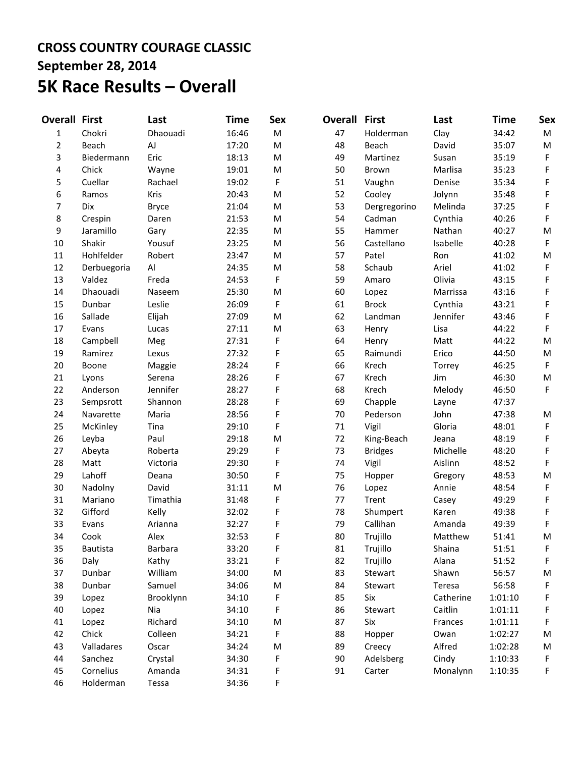## **CROSS COUNTRY COURAGE CLASSIC September 28, 2014 5K Race Results – Overall**

| <b>Overall First</b> |                 | Last           | Time  | <b>Sex</b> | Overall | <b>First</b>   | Last      | <b>Time</b> | <b>Sex</b> |
|----------------------|-----------------|----------------|-------|------------|---------|----------------|-----------|-------------|------------|
| $\mathbf{1}$         | Chokri          | Dhaouadi       | 16:46 | M          | 47      | Holderman      | Clay      | 34:42       | M          |
| $\overline{2}$       | Beach           | AJ             | 17:20 | M          | 48      | Beach          | David     | 35:07       | M          |
| 3                    | Biedermann      | Eric           | 18:13 | M          | 49      | Martinez       | Susan     | 35:19       | F          |
| 4                    | Chick           | Wayne          | 19:01 | M          | 50      | Brown          | Marlisa   | 35:23       | F          |
| 5                    | Cuellar         | Rachael        | 19:02 | F          | 51      | Vaughn         | Denise    | 35:34       | F          |
| 6                    | Ramos           | Kris           | 20:43 | M          | 52      | Cooley         | Jolynn    | 35:48       | F          |
| 7                    | Dix             | <b>Bryce</b>   | 21:04 | M          | 53      | Dergregorino   | Melinda   | 37:25       | F          |
| 8                    | Crespin         | Daren          | 21:53 | M          | 54      | Cadman         | Cynthia   | 40:26       | F          |
| 9                    | Jaramillo       | Gary           | 22:35 | ${\sf M}$  | 55      | Hammer         | Nathan    | 40:27       | M          |
| 10                   | Shakir          | Yousuf         | 23:25 | M          | 56      | Castellano     | Isabelle  | 40:28       | F          |
| 11                   | Hohlfelder      | Robert         | 23:47 | M          | 57      | Patel          | Ron       | 41:02       | M          |
| 12                   | Derbuegoria     | AI             | 24:35 | M          | 58      | Schaub         | Ariel     | 41:02       | F          |
| 13                   | Valdez          | Freda          | 24:53 | F          | 59      | Amaro          | Olivia    | 43:15       | F          |
| 14                   | Dhaouadi        | Naseem         | 25:30 | M          | 60      | Lopez          | Marrissa  | 43:16       | F          |
| 15                   | Dunbar          | Leslie         | 26:09 | F          | 61      | <b>Brock</b>   | Cynthia   | 43:21       | F          |
| 16                   | Sallade         | Elijah         | 27:09 | M          | 62      | Landman        | Jennifer  | 43:46       | F          |
| 17                   | Evans           | Lucas          | 27:11 | M          | 63      | Henry          | Lisa      | 44:22       | F          |
| 18                   | Campbell        | Meg            | 27:31 | F          | 64      | Henry          | Matt      | 44:22       | M          |
| 19                   | Ramirez         | Lexus          | 27:32 | F          | 65      | Raimundi       | Erico     | 44:50       | M          |
| 20                   | Boone           | Maggie         | 28:24 | F          | 66      | Krech          | Torrey    | 46:25       | F          |
| 21                   | Lyons           | Serena         | 28:26 | F          | 67      | Krech          | Jim       | 46:30       | M          |
| 22                   | Anderson        | Jennifer       | 28:27 | F          | 68      | Krech          | Melody    | 46:50       | F          |
| 23                   | Sempsrott       | Shannon        | 28:28 | F          | 69      | Chapple        | Layne     | 47:37       |            |
| 24                   | Navarette       | Maria          | 28:56 | F          | 70      | Pederson       | John      | 47:38       | M          |
| 25                   | McKinley        | Tina           | 29:10 | F          | 71      | Vigil          | Gloria    | 48:01       | F          |
| 26                   | Leyba           | Paul           | 29:18 | M          | 72      | King-Beach     | Jeana     | 48:19       | F          |
| 27                   | Abeyta          | Roberta        | 29:29 | F          | 73      | <b>Bridges</b> | Michelle  | 48:20       | F          |
| 28                   | Matt            | Victoria       | 29:30 | F          | 74      | Vigil          | Aislinn   | 48:52       | F          |
| 29                   | Lahoff          | Deana          | 30:50 | F          | 75      | Hopper         | Gregory   | 48:53       | M          |
| 30                   | Nadolny         | David          | 31:11 | M          | 76      | Lopez          | Annie     | 48:54       | F          |
| 31                   | Mariano         | Timathia       | 31:48 | F          | 77      | Trent          | Casey     | 49:29       | F          |
| 32                   | Gifford         | Kelly          | 32:02 | F          | 78      | Shumpert       | Karen     | 49:38       | F          |
| 33                   | Evans           | Arianna        | 32:27 | F          | 79      | Callihan       | Amanda    | 49:39       | F          |
| 34                   | Cook            | Alex           | 32:53 | F          | 80      | Trujillo       | Matthew   | 51:41       | M          |
| 35                   | <b>Bautista</b> | <b>Barbara</b> | 33:20 | F          | 81      | Trujillo       | Shaina    | 51:51       | F          |
| 36                   | Daly            | Kathy          | 33:21 | F          | 82      | Trujillo       | Alana     | 51:52       | F          |
| 37                   | Dunbar          | William        | 34:00 | M          | 83      | Stewart        | Shawn     | 56:57       | M          |
| 38                   | Dunbar          | Samuel         | 34:06 | M          | 84      | Stewart        | Teresa    | 56:58       | F          |
| 39                   | Lopez           | Brooklynn      | 34:10 | F          | 85      | Six            | Catherine | 1:01:10     | F          |
| 40                   | Lopez           | Nia            | 34:10 | F          | 86      | Stewart        | Caitlin   | 1:01:11     | F          |
| 41                   | Lopez           | Richard        | 34:10 | M          | 87      | Six            | Frances   | 1:01:11     | F          |
| 42                   | Chick           | Colleen        | 34:21 | F          | 88      | Hopper         | Owan      | 1:02:27     | M          |
| 43                   | Valladares      | Oscar          | 34:24 | M          | 89      | Creecy         | Alfred    | 1:02:28     | M          |
| 44                   | Sanchez         | Crystal        | 34:30 | F          | 90      | Adelsberg      | Cindy     | 1:10:33     | F          |
| 45                   | Cornelius       | Amanda         | 34:31 | F          | 91      | Carter         | Monalynn  | 1:10:35     | F          |
| 46                   | Holderman       | Tessa          | 34:36 | F          |         |                |           |             |            |